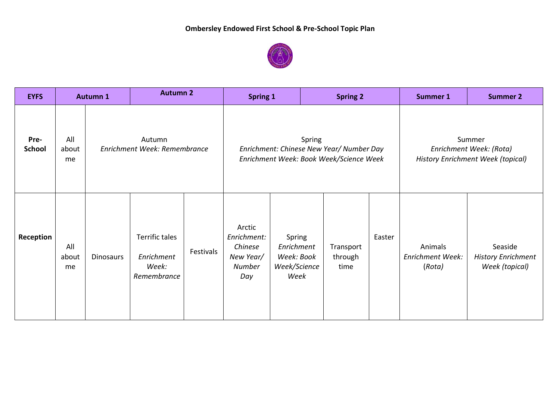

| <b>EYFS</b>           |                    | Autumn 1                               | <b>Autumn 2</b>                                      |           | <b>Spring 1</b>                                                                               |                                                            | <b>Spring 2</b>              |        | <b>Summer 1</b>                                                        | <b>Summer 2</b>                                        |
|-----------------------|--------------------|----------------------------------------|------------------------------------------------------|-----------|-----------------------------------------------------------------------------------------------|------------------------------------------------------------|------------------------------|--------|------------------------------------------------------------------------|--------------------------------------------------------|
| Pre-<br><b>School</b> | All<br>about<br>me | Autumn<br>Enrichment Week: Remembrance |                                                      |           | Spring<br>Enrichment: Chinese New Year/ Number Day<br>Enrichment Week: Book Week/Science Week |                                                            |                              |        | Summer<br>Enrichment Week: (Rota)<br>History Enrichment Week (topical) |                                                        |
| Reception             | All<br>about<br>me | <b>Dinosaurs</b>                       | Terrific tales<br>Enrichment<br>Week:<br>Remembrance | Festivals | Arctic<br>Enrichment:<br>Chinese<br>New Year/<br><b>Number</b><br>Day                         | Spring<br>Enrichment<br>Week: Book<br>Week/Science<br>Week | Transport<br>through<br>time | Easter | Animals<br><b>Enrichment Week:</b><br>(Rota)                           | Seaside<br><b>History Enrichment</b><br>Week (topical) |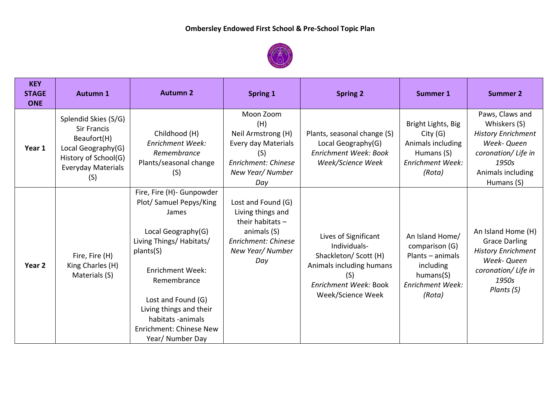

| <b>KEY</b><br><b>STAGE</b><br><b>ONE</b> | <b>Autumn 1</b>                                                                                                                             | <b>Autumn 2</b>                                                                                                                                                                                                                                                                                   | <b>Spring 1</b>                                                                                                                       | <b>Spring 2</b>                                                                                                                                | <b>Summer 1</b>                                                                                                      | <b>Summer 2</b>                                                                                                                                |
|------------------------------------------|---------------------------------------------------------------------------------------------------------------------------------------------|---------------------------------------------------------------------------------------------------------------------------------------------------------------------------------------------------------------------------------------------------------------------------------------------------|---------------------------------------------------------------------------------------------------------------------------------------|------------------------------------------------------------------------------------------------------------------------------------------------|----------------------------------------------------------------------------------------------------------------------|------------------------------------------------------------------------------------------------------------------------------------------------|
| Year 1                                   | Splendid Skies (S/G)<br><b>Sir Francis</b><br>Beaufort(H)<br>Local Geography(G)<br>History of School(G)<br><b>Everyday Materials</b><br>(S) | Childhood (H)<br><b>Enrichment Week:</b><br>Remembrance<br>Plants/seasonal change<br>(S)                                                                                                                                                                                                          | Moon Zoom<br>(H)<br>Neil Armstrong (H)<br>Every day Materials<br>(S)<br>Enrichment: Chinese<br>New Year/ Number<br>Day                | Plants, seasonal change (S)<br>Local Geography(G)<br>Enrichment Week: Book<br>Week/Science Week                                                | Bright Lights, Big<br>City(G)<br>Animals including<br>Humans (S)<br><b>Enrichment Week:</b><br>(Rota)                | Paws, Claws and<br>Whiskers (S)<br><b>History Enrichment</b><br>Week- Queen<br>coronation/ Life in<br>1950s<br>Animals including<br>Humans (S) |
| Year <sub>2</sub>                        | Fire, Fire (H)<br>King Charles (H)<br>Materials (S)                                                                                         | Fire, Fire (H)- Gunpowder<br>Plot/Samuel Pepys/King<br>James<br>Local Geography(G)<br>Living Things/ Habitats/<br>plants(S)<br><b>Enrichment Week:</b><br>Remembrance<br>Lost and Found (G)<br>Living things and their<br>habitats -animals<br><b>Enrichment: Chinese New</b><br>Year/ Number Day | Lost and Found (G)<br>Living things and<br>their habitats $-$<br>animals (S)<br><b>Enrichment: Chinese</b><br>New Year/ Number<br>Day | Lives of Significant<br>Individuals-<br>Shackleton/ Scott (H)<br>Animals including humans<br>(S)<br>Enrichment Week: Book<br>Week/Science Week | An Island Home/<br>comparison (G)<br>Plants - animals<br>including<br>humans(S)<br><b>Enrichment Week:</b><br>(Rota) | An Island Home (H)<br><b>Grace Darling</b><br><b>History Enrichment</b><br>Week- Queen<br>coronation/Life in<br>1950s<br>Plants (S)            |